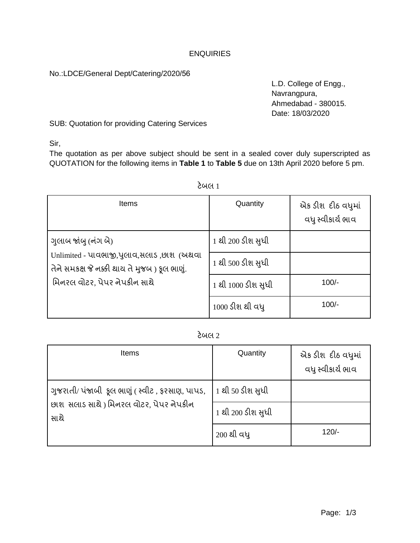#### **ENQUIRIES**

No.:LDCE/General Dept/Catering/2020/56

L.D. College of Engg., Navrangpura, Ahmedabad - 380015. Date: 18/03/2020

SUB: Quotation for providing Catering Services

Sir,

The quotation as per above subject should be sent in a sealed cover duly superscripted as QUOTATION for the following items in **Table 1** to **Table 5** due on 13th April 2020 before 5 pm.

| <b>Items</b>                                                                                                                                     | Quantity           | એક ડીશ દીઠ વધુમાં<br>વધુ સ્વીકાર્ય ભાવ |
|--------------------------------------------------------------------------------------------------------------------------------------------------|--------------------|----------------------------------------|
| ગુલાબ જાંબુ (નંગ બે)<br>Unlimited - પાવભાજી,પુલાવ,સલાડ,છાશ (અથવા<br>તેને સમકક્ષ જે નક્કી થાય તે મુજબ) ફૂલ ભાણું.<br>મિનરલ વોટર. પેપર નેપકીન સાથે | 1 થી 200 ડીશ સુધી  |                                        |
|                                                                                                                                                  | 1 થી 500 ડીશ સુધી  |                                        |
|                                                                                                                                                  | 1 થી 1000 ડીશ સુધી | $100/-$                                |
|                                                                                                                                                  | 1000 ડીશ થી વધુ    | $100/-$                                |

### ટેબલ 1

## ટેબલ 2

| Items                                                                                              | Quantity          | એક ડીશ દીઠ વધુમાં<br>વધુ સ્વીકાર્ય ભાવ |
|----------------------------------------------------------------------------------------------------|-------------------|----------------------------------------|
| ગુજરાતી/ પંજાબી કૂલ ભાણું ( સ્વીટ , ફરસાણ, પાપડ,<br>છાશ સલાડ સાથે) મિનરલ વોટર, પેપર નેપકીન<br>સાથે | 1 થી 50 ડીશ સુધી  |                                        |
|                                                                                                    | 1 થી 200 ડીશ સુધી |                                        |
|                                                                                                    | 200 થી વધ્        | $120/-$                                |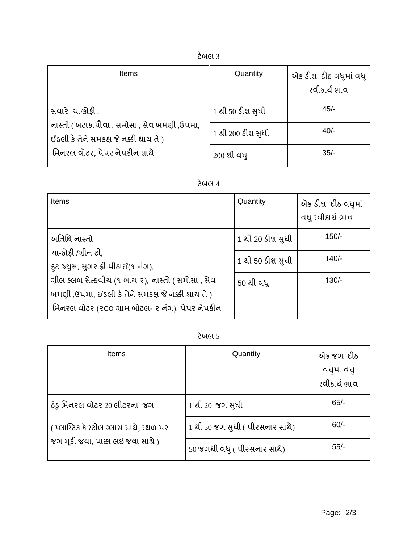| <b>Items</b>                                                                                                                            | Quantity          | એક ડીશ દીઠ વધુમાં વધુ<br>સ્વીકાર્ય ભાવ |
|-----------------------------------------------------------------------------------------------------------------------------------------|-------------------|----------------------------------------|
| સવારે ચા/કોફી,<br>નાસ્તો ( બટાકાપૌવા , સમોસા , સેવ ખમણી ,ઉપમા,<br>ઈડલી કે તેને સમકક્ષ જે નક્કી થાય તે )<br>મિનરલ વોટર, પેપર નેપકીન સાથે | 1 થી 50 ડીશ સુધી  | $45/-$                                 |
|                                                                                                                                         | 1 થી 200 ડીશ સુધી | $40/-$                                 |
|                                                                                                                                         | 200 થી વધ્        | $35/-$                                 |

# ટેબલ 4

| Items                                                                                                                                                                                                                                    | Quantity         | એક ડીશ દીઠ વધુમાં<br>વધુ સ્વીકાર્ય ભાવ |
|------------------------------------------------------------------------------------------------------------------------------------------------------------------------------------------------------------------------------------------|------------------|----------------------------------------|
| અતિથિ નાસ્તો<br>ચા-ક્રોફી /ગ્રીન ટી,<br>ફ્રટ જ્યુસ, સુગર ફ્રી મીઠાઈ(૧ નંગ),<br>ગ્રીલ ક્લબ સેન્ડવીય (૧ બાય ૨), નાસ્તો ( સમોસા , સેવ<br>ખમણી,ઉપમા, ઈડલી કે તેને સમકક્ષ જે નક્કી થાય તે)<br>મિનરલ વોટર (૨૦૦ ગ્રામ બોટલ- ૨ નંગ), પેપર નેપકીન | 1 થી 20 ડીશ સુધી | $150/-$                                |
|                                                                                                                                                                                                                                          | 1 થી 50 ડીશ સુધી | $140/-$                                |
|                                                                                                                                                                                                                                          | 50 થી વધ         | $130/-$                                |

## ટેબલ 5

| <b>Items</b>                            | Quantity                        | એક જગ દીઠ<br>વધુમાં વધુ<br>સ્વીકાર્ય ભાવ |
|-----------------------------------------|---------------------------------|------------------------------------------|
| ઠંડુ મિનરલ વોટર 20 લીટરના  જગ           | 1 થી 20 જગ સુધી                 | $65/-$                                   |
| (પ્લાસ્ટિક કે સ્ટીલ ગ્લાસ સાથે, સ્થળ પર | 1 થી 50 જગ સુધી ( પીરસનાર સાથે) | $60/-$                                   |
| જગ મૂકી જવા, પાછા લઇ જવા સાથે)          | 50 જગથી વધુ ( પીરસનાર સાથે)     | $55/-$                                   |